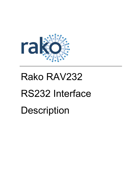

## Rako RAV232

# RS232 Interface **Description**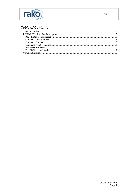<span id="page-1-0"></span>

## **Table of Contents**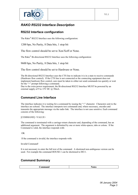<span id="page-2-0"></span>

### *RAKO RS232 Interface Description*

#### **RS232 Interface configuration**

The Rako® RS232 Interface uses the following configuration:

1200 bps, No Parity, 8 Data bits, 1 stop bit

The flow control should be set to Xon/Xoff or None.

The Rako® Bi-directional RS232 Interface uses the following configuration:

9600 bps, No Parity, 8 Data bits, 1 stop bit

The flow control should be set to Hardware or None.

The Bi-directional RS232 Interface uses the CTS line to indicate it is in a state to receive commands (Hardware flow control). If the CTS line is not connected or the connecting equipment does not implement hardware flow control, care must be taken to either not send commands too quickly or wait for the ">" prompt following a command.

Due to the extra power requirement, the Bi-directional RS232 Interface MUST be powered by an external supply of 9 to 15V DC @ 50mA.

#### **Command Line Interface**

The interface indicates it is waiting for a command by issuing the ">" character. Characters sent to the interface are echoed. The interface interprets text commands and, where necessary, encodes and transmits the appropriate message via the radio link. The interface is not case sensitive. Each command consists of the following:

[COMMAND] <VALUE>

The command is terminated with a carriage-return character and, depending of the command, has an additional argument. The argument is delimited by one or more white-spaces, tabs or colons. If the Command is valid, the interface responds with:

#### OK

If the command is invalid, the interface responds with:

Invalid Command!

It is not necessary to enter the full text of the command. A shortened non-ambiguous version can be used. For example the command HOUSE:1 can be shortened to HO:1.

#### **Command Summary**

| ---<br>----------- | - -<br>ъ.<br><b>MIL.</b> |
|--------------------|--------------------------|
|                    |                          |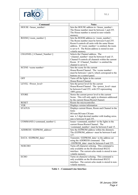

| Command                                   |                                                                                                              |
|-------------------------------------------|--------------------------------------------------------------------------------------------------------------|
|                                           | <b>Notes</b>                                                                                                 |
| HOUSE <house number=""></house>           | Sets the HOUSE address to <house number="">.</house>                                                         |
|                                           | The House number must be between 1 and 255.<br>The House number is stored in non-volatile                    |
|                                           |                                                                                                              |
|                                           | memory.                                                                                                      |
| ROOM [ <room number="">]</room>           | Sets the ROOM address to <room number="">.<br/>The Room number must be between 0 and 255.</room>             |
|                                           | Room 0 controls all units with the same House                                                                |
|                                           |                                                                                                              |
|                                           | address. If <room number=""> is omitted, the room<br/>is set to 0. The Room address is stored in non-</room> |
|                                           | volatile memory.                                                                                             |
| CHANNEL [ <channel number="">]</channel>  | Selects the Channel address. The                                                                             |
|                                           | $\le$ channel number> must be between 0 and 15.                                                              |
|                                           | Channel 0 controls all channels within the current                                                           |
|                                           | Room. If <channel number=""> is omitted the</channel>                                                        |
|                                           | channel is set to 0.                                                                                         |
| SCENE <scene number=""></scene>           | Sets the scene for the current                                                                               |
|                                           | House/Room/Channel. The <scene number=""></scene>                                                            |
|                                           | must be between 1 and 4, which correspond to the                                                             |
|                                           | buttons on a control panel.                                                                                  |
| <b>OFF</b>                                | Turns off the lights in the current                                                                          |
|                                           | House/Room/Channel.                                                                                          |
| LEVEL <power level=""></power>            | Sets the power level for the current                                                                         |
|                                           | House/Room/Channel. The <power level=""> must</power>                                                        |
|                                           | be between 0 and 255, with 255 representing                                                                  |
|                                           | 100% power.                                                                                                  |
| <b>STORE</b>                              | Stores the current power level to the current                                                                |
|                                           | Scene. This will only apply to dimmers addressed                                                             |
|                                           | by the current House/Room/Channel.                                                                           |
| <b>RESET</b>                              | Resets the microcontroller.                                                                                  |
| <b>VER</b>                                | Displays version information                                                                                 |
| <b>STATUS</b>                             | Displays current House, Room and Channel in the                                                              |
|                                           | form:                                                                                                        |
|                                           | HO:nnn RO:nnn CH:nnn                                                                                         |
|                                           | nnn is 3 digit decimal number with leading zeros.                                                            |
|                                           | nnn is between 0 and 255.                                                                                    |
| COMMAND [ <command number=""/> ]          | Issues <command number=""/> to the lights in the                                                             |
|                                           | current House/Room/Channel. The                                                                              |
|                                           | <command number=""/> must be between 0 and 15.                                                               |
| ADDRESS <eeprom_address></eeprom_address> | Sets the EEPROM address within the dimmers.                                                                  |
|                                           | The (EEPROM address> must be between 0 and                                                                   |
|                                           | 127.                                                                                                         |
| DATA <eeprom_data></eeprom_data>          | Transmits <eeprom_data> to the address set</eeprom_data>                                                     |
|                                           | using the ADDRESS command. The                                                                               |
|                                           | <eeprom data=""> must be between 0 and 255.</eeprom>                                                         |
| <b>NOECHO</b>                             | Turns off character echoing. This command is                                                                 |
|                                           | only available on the Bi-directional RS232                                                                   |
|                                           | interface. The current echo mode is stored in non-                                                           |
|                                           | volatile memory.                                                                                             |
| <b>ECHO</b>                               | Turns on character echoing. This command is                                                                  |
|                                           | only available on the Bi-directional RS232                                                                   |
|                                           | interface. The current echo mode is stored in non-                                                           |
|                                           | volatile memory.                                                                                             |

<span id="page-3-0"></span>**Table 1 – Command Line Interface**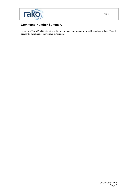<span id="page-4-0"></span>

## **Command Number Summary**

Using the COMMAND instruction, a literal command can be sent to the addressed controllers. [Table 2](#page-5-1) details the meanings of the various instructions.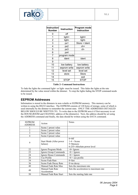<span id="page-5-0"></span>

| <b>Instruction</b><br>Number | <b>Instruction</b> | Program mode<br>instruction |
|------------------------------|--------------------|-----------------------------|
| 0                            | off                |                             |
| 1                            | light+             | light+                      |
| $\overline{2}$               | light-             | light-                      |
| 3                            | ps1                | Store + Ident               |
| 4                            | ps2                | ch+                         |
| 5                            | ps3                | ch-                         |
| 6                            | ps4                |                             |
| 7                            | program mode       |                             |
| 8                            | ident              | ident                       |
| 9                            |                    |                             |
| 10                           | low battery        | low battery                 |
| 11                           | eeprom write       | eeprom write                |
| 12                           | level set          | level set                   |
| 13                           | store              | <b>Store</b>                |
| 14                           |                    | exit                        |
| 15                           | STOP               | <b>STOP</b>                 |

#### <span id="page-5-1"></span>**Table 2- Command Instructions**

To fade the lights the command light+ or light- must be issued. This fades the lights at the rate determined by the value stored within the dimmer. To stop the lights fading the STOP command needs to be issued.

#### **EEPROM Addresses**

Information is stored in the dimmers in non-volatile or EEPROM memory. This memory can be written to using the RS232 interface. The EEPROM consists of 128 bytes of storage, some of which is used internally by the dimmer to remember the current state. ONLY THE ADDRESSES DETAILED BELOW SHOULD BE WRITTEN TO. To write data to the EEPROM area it if first necessary to set the HOUSE,ROOM and CHANNEL address of the dimmer(s). Next, the address should be set using the ADDRESS command and finally, the data should be written using the DATA command.

| <b>EEPROM</b><br><b>ADDRESS</b> | Action                              | <b>Notes</b>                                                        |
|---------------------------------|-------------------------------------|---------------------------------------------------------------------|
|                                 | Scene 1 preset value                |                                                                     |
| 2                               | Scene 2 preset value                |                                                                     |
| 3                               | Scene 3 preset value                |                                                                     |
| 4                               | Scene 4 preset value                |                                                                     |
| 9                               | Start Mode (After power<br>failure) | $0=0$ ff<br>$1-4$ = Scene<br>5=Memory<br>6-255=Absolute power level |
| 22                              | Ignore Program Mode                 | $>0=$ Ignore                                                        |
| 23                              | Ignore Group Commands               | $>0$ = Ignore                                                       |
| 24                              | Ignore House Commands               | $>0$ = Ignore                                                       |
| 26                              | Use Profile                         | $>0$ = use profile                                                  |
| 34                              | Scene Fade Rate                     | $0 =$ fast                                                          |
| 36                              | Scene Fade Decay Rate               | $0 = no$ decay                                                      |
| 40                              | Manual Fade Rate Max                | Sets the maximum rate                                               |
| 48                              | Manual Fade Rate<br>Acceleration    | Sets the acceleration to maximum rate                               |
| 50                              | Manual Fade Rate Start              | Sets the starting fade rate                                         |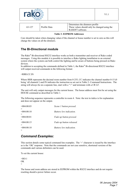<span id="page-6-0"></span>

|        |              | Determines the dimmers profile                |
|--------|--------------|-----------------------------------------------|
| 63-127 | Profile Data | These values should only be changed using the |
|        |              | RASOFT software.                              |

#### **Table 3- EEPROM Addresses**

Care should be taken when changing values if the channel or house number is set to zero as this will change the values on all the dimmers.

#### **The Bi-Directional module**

The Rako® Bi-directional RS232 interface works as both a transmitter and receiver of Rako coded messages. Using this module it is possible to interface a Rako lighting installation to an external system where the system can both control the lighting and be aware of buttons being pressed on Rako devices.

In addition to accepting the commands defined in [Table 1,](#page-3-0) the Rako® Bi-directional RS232 interface will output received commands in the following format:

<RRR:CC:IN

Where RRR represents the decimal room number from 0-255, CC indicates the channel number 0-15 (0) being 'all channels') and IN indicates the instruction as set out in [Table 2- Command Instructions.](#page-5-1) The string will always be on a separate line, start with a "<" and terminate with a CR LF.

The unit will only output messages for the current house. The house address must first be set using the HOUSE command as described in [Table 1.](#page-3-0)

The following sequence represents a controller in room 4. Note: the text in italics is for explanation and does not appear on the output.

| < 004:00:03      | Scene 1 button pressed.  |
|------------------|--------------------------|
|                  |                          |
| < 004:00:10      | Battery low indication.  |
|                  |                          |
| < 004:00:01      | Fade up button pressed.  |
|                  |                          |
| $\leq 004:00:15$ | Fade up button released. |
|                  |                          |
| < 004:00:10      | Battery low indication.  |
|                  |                          |

#### *Command Examples:*

This section details some typical command line examples. The '>' character is issued by the interface as is the 'OK' response. Note that the commands are not case sensitive, shortened versions of the commands and various delimiters can be used.

To set the current house:

 $>$ HO $\cdot$ 1 OK >

The house and room address are stored in EEPROM within the RS232 interface and do not require resetting should a power failure occur.